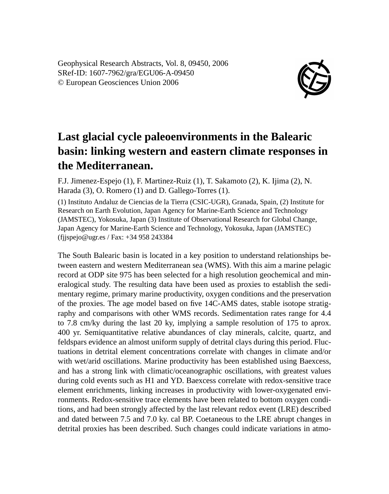Geophysical Research Abstracts, Vol. 8, 09450, 2006 SRef-ID: 1607-7962/gra/EGU06-A-09450 © European Geosciences Union 2006



## **Last glacial cycle paleoenvironments in the Balearic basin: linking western and eastern climate responses in the Mediterranean.**

F.J. Jimenez-Espejo (1), F. Martinez-Ruiz (1), T. Sakamoto (2), K. Ijima (2), N. Harada (3), O. Romero (1) and D. Gallego-Torres (1).

(1) Instituto Andaluz de Ciencias de la Tierra (CSIC-UGR), Granada, Spain, (2) Institute for Research on Earth Evolution, Japan Agency for Marine-Earth Science and Technology (JAMSTEC), Yokosuka, Japan (3) Institute of Observational Research for Global Change, Japan Agency for Marine-Earth Science and Technology, Yokosuka, Japan (JAMSTEC) (fjjspejo@ugr.es / Fax: +34 958 243384

The South Balearic basin is located in a key position to understand relationships between eastern and western Mediterranean sea (WMS). With this aim a marine pelagic record at ODP site 975 has been selected for a high resolution geochemical and mineralogical study. The resulting data have been used as proxies to establish the sedimentary regime, primary marine productivity, oxygen conditions and the preservation of the proxies. The age model based on five 14C-AMS dates, stable isotope stratigraphy and comparisons with other WMS records. Sedimentation rates range for 4.4 to 7.8 cm/ky during the last 20 ky, implying a sample resolution of 175 to aprox. 400 yr. Semiquantitative relative abundances of clay minerals, calcite, quartz, and feldspars evidence an almost uniform supply of detrital clays during this period. Fluctuations in detrital element concentrations correlate with changes in climate and/or with wet/arid oscillations. Marine productivity has been established using Baexcess, and has a strong link with climatic/oceanographic oscillations, with greatest values during cold events such as H1 and YD. Baexcess correlate with redox-sensitive trace element enrichments, linking increases in productivity with lower-oxygenated environments. Redox-sensitive trace elements have been related to bottom oxygen conditions, and had been strongly affected by the last relevant redox event (LRE) described and dated between 7.5 and 7.0 ky. cal BP. Coetaneous to the LRE abrupt changes in detrital proxies has been described. Such changes could indicate variations in atmo-